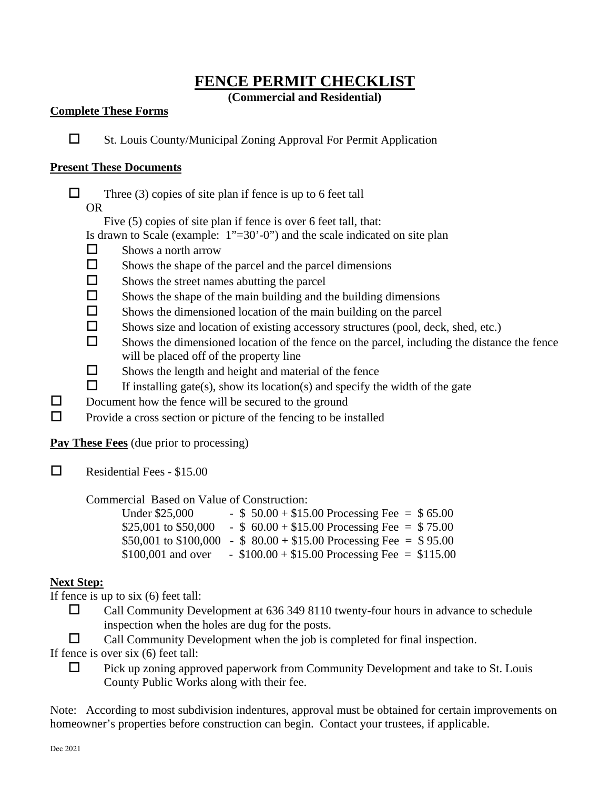## **FENCE PERMIT CHECKLIST**

**(Commercial and Residential)**

### **Complete These Forms**

 $\Box$  St. Louis County/Municipal Zoning Approval For Permit Application

### **Present These Documents**

 $\Box$  Three (3) copies of site plan if fence is up to 6 feet tall

OR

Five (5) copies of site plan if fence is over 6 feet tall, that:

Is drawn to Scale (example:  $1"=30'-0"$ ) and the scale indicated on site plan

- $\Box$  Shows a north arrow
- $\square$  Shows the shape of the parcel and the parcel dimensions
- $\Box$  Shows the street names abutting the parcel
- $\Box$  Shows the shape of the main building and the building dimensions
- $\square$  Shows the dimensioned location of the main building on the parcel
- $\square$  Shows size and location of existing accessory structures (pool, deck, shed, etc.)
- $\Box$  Shows the dimensioned location of the fence on the parcel, including the distance the fence will be placed off of the property line
- $\Box$  Shows the length and height and material of the fence
- $\Box$  If installing gate(s), show its location(s) and specify the width of the gate
- $\Box$  Document how the fence will be secured to the ground
- $\Box$  Provide a cross section or picture of the fencing to be installed

**Pay These Fees** (due prior to processing)

 $\Box$  Residential Fees - \$15.00

Commercial Based on Value of Construction:

| Under \$25,000       | - $$50.00 + $15.00$ Processing Fee = $$65.00$                      |
|----------------------|--------------------------------------------------------------------|
| \$25,001 to \$50,000 | - $$60.00 + $15.00$ Processing Fee = \$75.00                       |
|                      | \$50,001 to \$100,000 - \$80.00 + \$15.00 Processing Fee = \$95.00 |
| $$100,001$ and over  | - $$100.00 + $15.00$ Processing Fee = \$115.00                     |

## **Next Step:**

If fence is up to six (6) feet tall:

- $\Box$  Call Community Development at 636 349 8110 twenty-four hours in advance to schedule inspection when the holes are dug for the posts.
- $\Box$  Call Community Development when the job is completed for final inspection.

If fence is over six (6) feet tall:

 $\Box$  Pick up zoning approved paperwork from Community Development and take to St. Louis County Public Works along with their fee.

Note: According to most subdivision indentures, approval must be obtained for certain improvements on homeowner's properties before construction can begin. Contact your trustees, if applicable.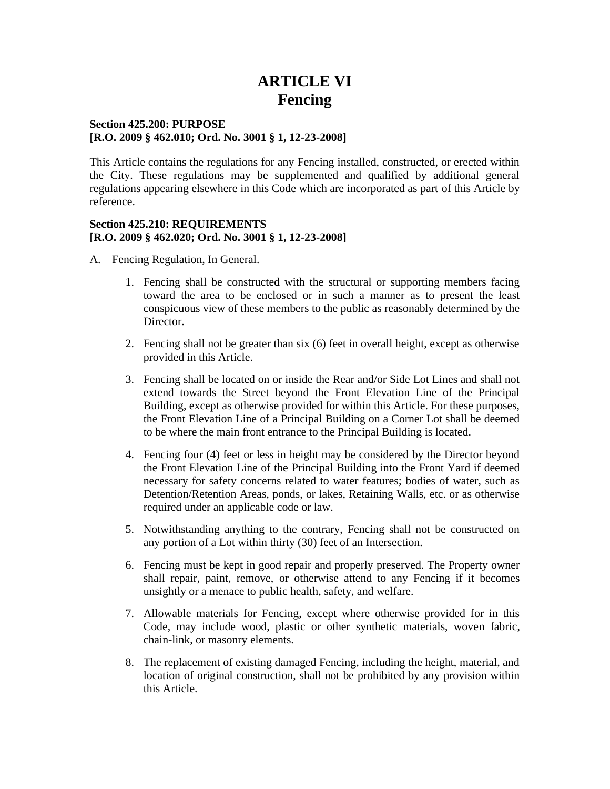# **ARTICLE VI Fencing**

#### **Section 425.200: PURPOSE [R.O. 2009 § 462.010; Ord. No. 3001 § 1, 12-23-2008]**

This Article contains the regulations for any Fencing installed, constructed, or erected within the City. These regulations may be supplemented and qualified by additional general regulations appearing elsewhere in this Code which are incorporated as part of this Article by reference.

#### **Section 425.210: REQUIREMENTS [R.O. 2009 § 462.020; Ord. No. 3001 § 1, 12-23-2008]**

- A. Fencing Regulation, In General.
	- 1. Fencing shall be constructed with the structural or supporting members facing toward the area to be enclosed or in such a manner as to present the least conspicuous view of these members to the public as reasonably determined by the Director.
	- 2. Fencing shall not be greater than six (6) feet in overall height, except as otherwise provided in this Article.
	- 3. Fencing shall be located on or inside the Rear and/or Side Lot Lines and shall not extend towards the Street beyond the Front Elevation Line of the Principal Building, except as otherwise provided for within this Article. For these purposes, the Front Elevation Line of a Principal Building on a Corner Lot shall be deemed to be where the main front entrance to the Principal Building is located.
	- 4. Fencing four (4) feet or less in height may be considered by the Director beyond the Front Elevation Line of the Principal Building into the Front Yard if deemed necessary for safety concerns related to water features; bodies of water, such as Detention/Retention Areas, ponds, or lakes, Retaining Walls, etc. or as otherwise required under an applicable code or law.
	- 5. Notwithstanding anything to the contrary, Fencing shall not be constructed on any portion of a Lot within thirty (30) feet of an Intersection.
	- 6. Fencing must be kept in good repair and properly preserved. The Property owner shall repair, paint, remove, or otherwise attend to any Fencing if it becomes unsightly or a menace to public health, safety, and welfare.
	- 7. Allowable materials for Fencing, except where otherwise provided for in this Code, may include wood, plastic or other synthetic materials, woven fabric, chain-link, or masonry elements.
	- 8. The replacement of existing damaged Fencing, including the height, material, and location of original construction, shall not be prohibited by any provision within this Article.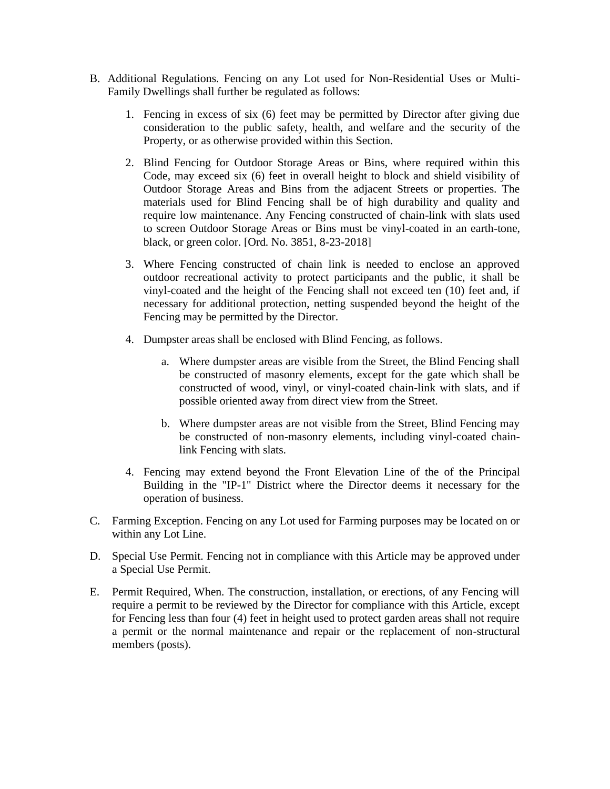- B. Additional Regulations. Fencing on any Lot used for Non-Residential Uses or Multi-Family Dwellings shall further be regulated as follows:
	- 1. Fencing in excess of six (6) feet may be permitted by Director after giving due consideration to the public safety, health, and welfare and the security of the Property, or as otherwise provided within this Section.
	- 2. Blind Fencing for Outdoor Storage Areas or Bins, where required within this Code, may exceed six (6) feet in overall height to block and shield visibility of Outdoor Storage Areas and Bins from the adjacent Streets or properties. The materials used for Blind Fencing shall be of high durability and quality and require low maintenance. Any Fencing constructed of chain-link with slats used to screen Outdoor Storage Areas or Bins must be vinyl-coated in an earth-tone, black, or green color. [Ord. No. 3851, 8-23-2018]
	- 3. Where Fencing constructed of chain link is needed to enclose an approved outdoor recreational activity to protect participants and the public, it shall be vinyl-coated and the height of the Fencing shall not exceed ten (10) feet and, if necessary for additional protection, netting suspended beyond the height of the Fencing may be permitted by the Director.
	- 4. Dumpster areas shall be enclosed with Blind Fencing, as follows.
		- a. Where dumpster areas are visible from the Street, the Blind Fencing shall be constructed of masonry elements, except for the gate which shall be constructed of wood, vinyl, or vinyl-coated chain-link with slats, and if possible oriented away from direct view from the Street.
		- b. Where dumpster areas are not visible from the Street, Blind Fencing may be constructed of non-masonry elements, including vinyl-coated chainlink Fencing with slats.
	- 4. Fencing may extend beyond the Front Elevation Line of the of the Principal Building in the "IP-1" District where the Director deems it necessary for the operation of business.
- C. Farming Exception. Fencing on any Lot used for Farming purposes may be located on or within any Lot Line.
- D. Special Use Permit. Fencing not in compliance with this Article may be approved under a Special Use Permit.
- E. Permit Required, When. The construction, installation, or erections, of any Fencing will require a permit to be reviewed by the Director for compliance with this Article, except for Fencing less than four (4) feet in height used to protect garden areas shall not require a permit or the normal maintenance and repair or the replacement of non-structural members (posts).